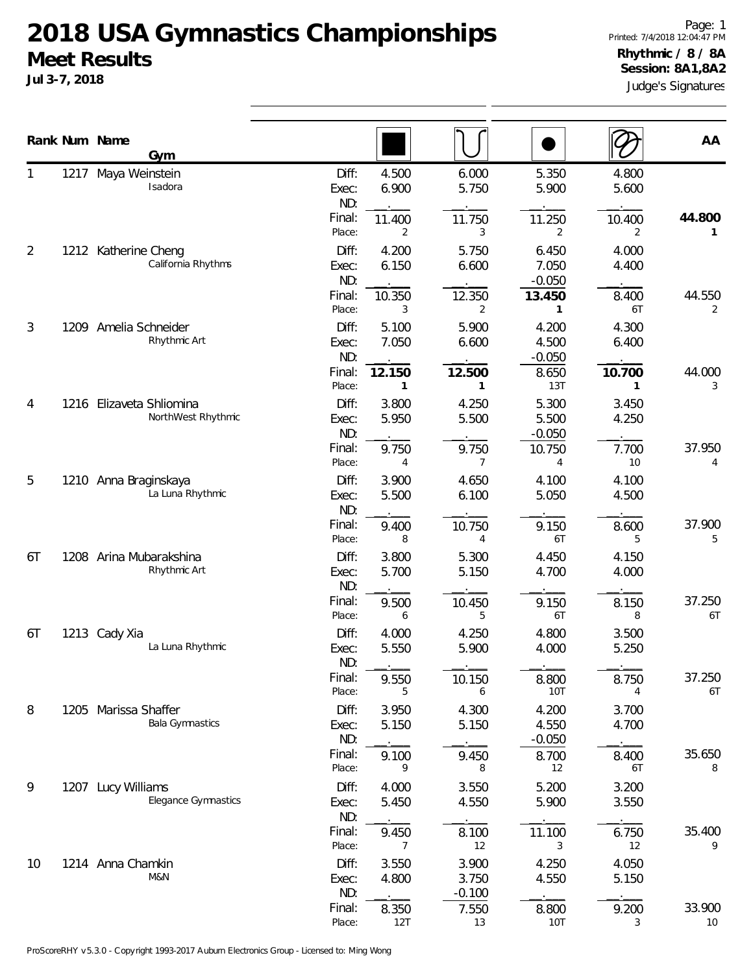**Jul 3-7, 2018**

|                |      | Rank Num Name<br>Gym                           |                       |                |                            |                            |                | AA           |
|----------------|------|------------------------------------------------|-----------------------|----------------|----------------------------|----------------------------|----------------|--------------|
| 1              | 1217 | Maya Weinstein<br>Isadora                      | Diff:<br>Exec:<br>ND: | 4.500<br>6.900 | 6.000<br>5.750             | 5.350<br>5.900             | 4.800<br>5.600 |              |
|                |      |                                                | Final:<br>Place:      | 11.400<br>2    | 11.750<br>3                | 11.250<br>2                | 10.400<br>2    | 44.800<br>1  |
| $\overline{2}$ |      | 1212 Katherine Cheng<br>California Rhythms     | Diff:<br>Exec:<br>ND: | 4.200<br>6.150 | 5.750<br>6.600             | 6.450<br>7.050<br>$-0.050$ | 4.000<br>4.400 |              |
|                |      |                                                | Final:<br>Place:      | 10.350<br>3    | 12.350<br>2                | 13.450<br>1                | 8.400<br>6T    | 44.550<br>2  |
| 3              | 1209 | Amelia Schneider<br>Rhythmic Art               | Diff:<br>Exec:<br>ND: | 5.100<br>7.050 | 5.900<br>6.600             | 4.200<br>4.500<br>$-0.050$ | 4.300<br>6.400 |              |
|                |      |                                                | Final:<br>Place:      | 12.150<br>1    | 12.500<br>$\mathbf{1}$     | 8.650<br>13T               | 10.700<br>1    | 44.000<br>3  |
| 4              |      | 1216 Elizaveta Shliomina<br>NorthWest Rhythmic | Diff:<br>Exec:<br>ND: | 3.800<br>5.950 | 4.250<br>5.500             | 5.300<br>5.500<br>$-0.050$ | 3.450<br>4.250 |              |
|                |      |                                                | Final:<br>Place:      | 9.750<br>4     | 9.750<br>7                 | 10.750<br>4                | 7.700<br>10    | 37.950<br>4  |
| 5              |      | 1210 Anna Braginskaya<br>La Luna Rhythmic      | Diff:<br>Exec:<br>ND: | 3.900<br>5.500 | 4.650<br>6.100             | 4.100<br>5.050             | 4.100<br>4.500 |              |
|                |      |                                                | Final:<br>Place:      | 9.400<br>8     | 10.750<br>4                | 9.150<br>6T                | 8.600<br>5     | 37.900<br>5  |
| 6T             | 1208 | Arina Mubarakshina<br>Rhythmic Art             | Diff:<br>Exec:<br>ND: | 3.800<br>5.700 | 5.300<br>5.150             | 4.450<br>4.700             | 4.150<br>4.000 |              |
|                |      |                                                | Final:<br>Place:      | 9.500<br>6     | 10.450<br>5                | 9.150<br>6T                | 8.150<br>8     | 37.250<br>6T |
| 6T             |      | 1213 Cady Xia<br>La Luna Rhythmic              | Diff:<br>Exec:<br>ND: | 4.000<br>5.550 | 4.250<br>5.900             | 4.800<br>4.000             | 3.500<br>5.250 |              |
|                |      |                                                | Final:<br>Place:      | 9.550<br>5     | 10.150<br>6                | 8.800<br>10T               | 8.750<br>4     | 37.250<br>6T |
| 8              |      | 1205 Marissa Shaffer<br><b>Bala Gymnastics</b> | Diff:<br>Exec:<br>ND: | 3.950<br>5.150 | 4.300<br>5.150             | 4.200<br>4.550<br>$-0.050$ | 3.700<br>4.700 |              |
|                |      |                                                | Final:<br>Place:      | 9.100<br>9     | 9.450<br>8                 | 8.700<br>12                | 8.400<br>6T    | 35.650<br>8  |
| 9              |      | 1207 Lucy Williams<br>Elegance Gymnastics      | Diff:<br>Exec:<br>ND: | 4.000<br>5.450 | 3.550<br>4.550             | 5.200<br>5.900             | 3.200<br>3.550 |              |
|                |      |                                                | Final:<br>Place:      | 9.450<br>7     | 8.100<br>12                | 11.100<br>3                | 6.750<br>12    | 35.400<br>9  |
| 10             |      | 1214 Anna Chamkin<br>M&N                       | Diff:<br>Exec:<br>ND: | 3.550<br>4.800 | 3.900<br>3.750<br>$-0.100$ | 4.250<br>4.550             | 4.050<br>5.150 |              |
|                |      |                                                | Final:<br>Place:      | 8.350<br>12T   | 7.550<br>13                | 8.800<br><b>10T</b>        | 9.200<br>3     | 33.900<br>10 |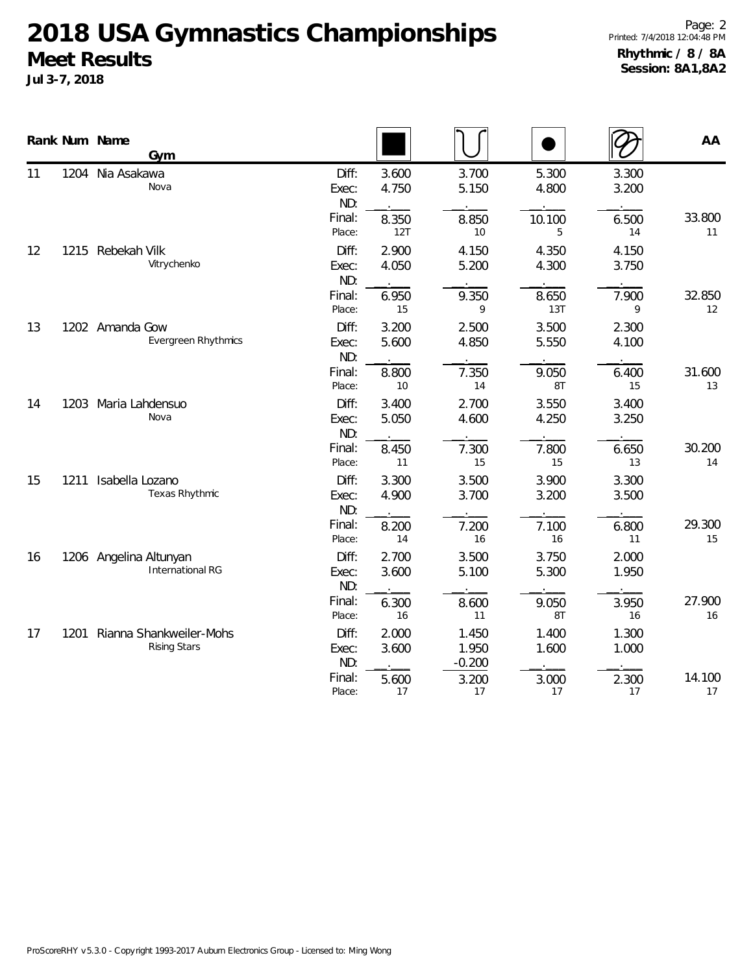|    |      | Rank Num Name<br>Gym                              |                       |                |                             |                              |                | AA           |
|----|------|---------------------------------------------------|-----------------------|----------------|-----------------------------|------------------------------|----------------|--------------|
| 11 | 1204 | Nia Asakawa<br>Nova                               | Diff:<br>Exec:<br>ND: | 3.600<br>4.750 | 3.700<br>5.150              | 5.300<br>4.800               | 3.300<br>3.200 |              |
|    |      |                                                   | Final:<br>Place:      | 8.350<br>12T   | 8.850<br>10                 | 10.100<br>5                  | 6.500<br>14    | 33.800<br>11 |
| 12 | 1215 | Rebekah Vilk<br>Vitrychenko                       | Diff:<br>Exec:<br>ND: | 2.900<br>4.050 | 4.150<br>5.200              | 4.350<br>4.300               | 4.150<br>3.750 |              |
|    |      |                                                   | Final:<br>Place:      | 6.950<br>15    | 9.350<br>9                  | 8.650<br>13T                 | 7.900<br>9     | 32.850<br>12 |
| 13 |      | 1202 Amanda Gow<br><b>Evergreen Rhythmics</b>     | Diff:<br>Exec:<br>ND: | 3.200<br>5.600 | 2.500<br>4.850              | 3.500<br>5.550               | 2.300<br>4.100 |              |
|    |      |                                                   | Final:<br>Place:      | 8.800<br>10    | 7.350<br>14                 | 9.050<br>8T                  | 6.400<br>15    | 31.600<br>13 |
| 14 | 1203 | Maria Lahdensuo<br>Nova                           | Diff:<br>Exec:<br>ND: | 3.400<br>5.050 | 2.700<br>4.600              | 3.550<br>4.250               | 3.400<br>3.250 |              |
|    |      |                                                   | Final:<br>Place:      | 8.450<br>11    | 7.300<br>15                 | 7.800<br>15                  | 6.650<br>13    | 30.200<br>14 |
| 15 | 1211 | Isabella Lozano<br>Texas Rhythmic                 | Diff:<br>Exec:<br>ND: | 3.300<br>4.900 | 3.500<br>3.700<br>$\dot{ }$ | 3.900<br>3.200<br>$\dot{\ }$ | 3.300<br>3.500 |              |
|    |      |                                                   | Final:<br>Place:      | 8.200<br>14    | 7.200<br>16                 | 7.100<br>16                  | 6.800<br>11    | 29.300<br>15 |
| 16 |      | 1206 Angelina Altunyan<br><b>International RG</b> | Diff:<br>Exec:<br>ND: | 2.700<br>3.600 | 3.500<br>5.100              | 3.750<br>5.300               | 2.000<br>1.950 |              |
|    |      |                                                   | Final:<br>Place:      | 6.300<br>16    | 8.600<br>11                 | 9.050<br>8T                  | 3.950<br>16    | 27.900<br>16 |
| 17 | 1201 | Rianna Shankweiler-Mohs<br><b>Rising Stars</b>    | Diff:<br>Exec:<br>ND: | 2.000<br>3.600 | 1.450<br>1.950<br>$-0.200$  | 1.400<br>1.600               | 1.300<br>1.000 |              |
|    |      |                                                   | Final:<br>Place:      | 5.600<br>17    | 3.200<br>17                 | 3.000<br>17                  | 2.300<br>17    | 14.100<br>17 |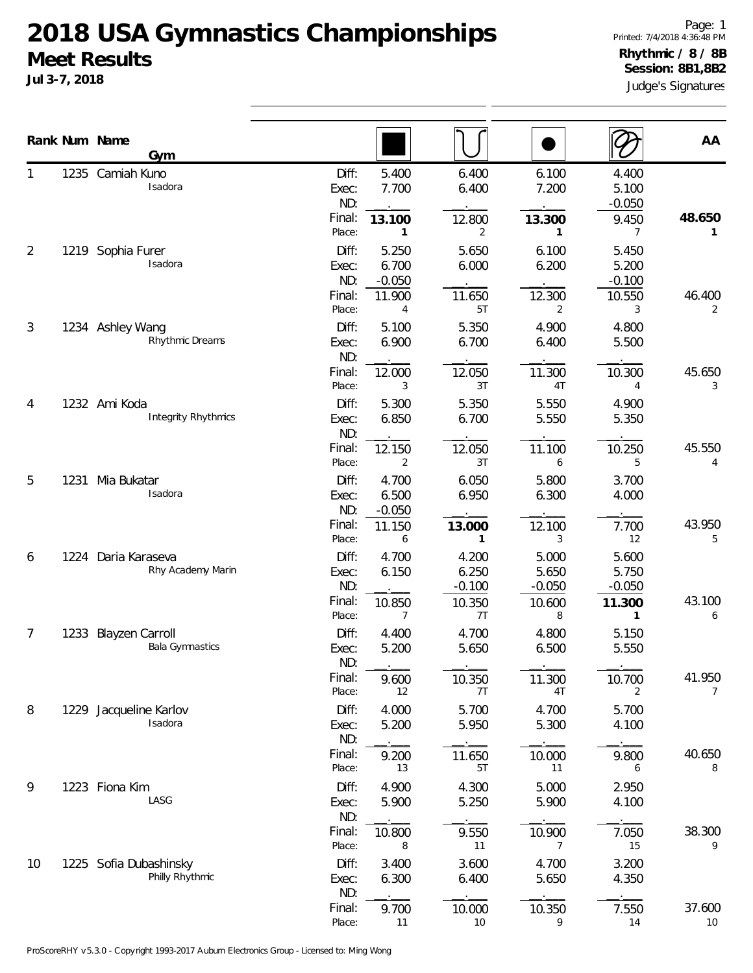**Jul 3-7, 2018**

|                |      | Rank Num Name<br>Gym                           |                                           |                                      |                                            |                                            |                                           | AA                       |
|----------------|------|------------------------------------------------|-------------------------------------------|--------------------------------------|--------------------------------------------|--------------------------------------------|-------------------------------------------|--------------------------|
| 1              |      | 1235 Camiah Kuno<br>Isadora                    | Diff:<br>Exec:<br>ND:<br>Final:<br>Place: | 5.400<br>7.700<br>13.100<br>1        | 6.400<br>6.400<br>12.800<br>2              | 6.100<br>7.200<br>13.300<br>1              | 4.400<br>5.100<br>$-0.050$<br>9.450<br>7  | 48.650<br>1              |
| $\overline{2}$ | 1219 | Sophia Furer<br>Isadora                        | Diff:<br>Exec:<br>ND:<br>Final:           | 5.250<br>6.700<br>$-0.050$<br>11.900 | 5.650<br>6.000<br>11.650                   | 6.100<br>6.200<br>12.300                   | 5.450<br>5.200<br>$-0.100$<br>10.550      | 46.400                   |
| 3              |      | 1234 Ashley Wang<br>Rhythmic Dreams            | Place:<br>Diff:<br>Exec:<br>ND:           | 4<br>5.100<br>6.900                  | 5T<br>5.350<br>6.700                       | 2<br>4.900<br>6.400                        | 3<br>4.800<br>5.500                       | 2                        |
| 4              |      | 1232 Ami Koda<br><b>Integrity Rhythmics</b>    | Final:<br>Place:<br>Diff:<br>Exec:<br>ND: | 12.000<br>3<br>5.300<br>6.850        | 12.050<br>3T<br>5.350<br>6.700             | 11.300<br>4T<br>5.550<br>5.550             | 10.300<br>4<br>4.900<br>5.350             | 45.650<br>3              |
| 5              | 1231 | Mia Bukatar<br>Isadora                         | Final:<br>Place:<br>Diff:                 | 12.150<br>2<br>4.700                 | 12.050<br>3T<br>6.050                      | 11.100<br>6<br>5.800                       | 10.250<br>5<br>3.700                      | 45.550<br>4              |
|                |      |                                                | Exec:<br>ND:<br>Final:<br>Place:          | 6.500<br>$-0.050$<br>11.150<br>6     | 6.950<br>13.000<br>$\mathbf{1}$            | 6.300<br>12.100<br>3                       | 4.000<br>7.700<br>12                      | 43.950<br>5              |
| 6              | 1224 | Daria Karaseva<br>Rhy Academy Marin            | Diff:<br>Exec:<br>ND:<br>Final:<br>Place: | 4.700<br>6.150<br>10.850<br>7        | 4.200<br>6.250<br>$-0.100$<br>10.350<br>7T | 5.000<br>5.650<br>$-0.050$<br>10.600<br>8  | 5.600<br>5.750<br>$-0.050$<br>11.300<br>1 | 43.100<br>6              |
| $\overline{7}$ |      | 1233 Blayzen Carroll<br><b>Bala Gymnastics</b> | Diff:<br>Exec:<br>ND:                     | 4.400<br>5.200                       | 4.700<br>5.650                             | 4.800<br>6.500                             | 5.150<br>5.550                            |                          |
| 8              | 1229 | Jacqueline Karlov<br>Isadora                   | Final:<br>Place:<br>Diff:<br>Exec:        | 9.600<br>12<br>4.000<br>5.200        | 10.350<br>7T<br>5.700<br>5.950             | 11.300<br>4T<br>4.700<br>5.300             | 10.700<br>2<br>5.700<br>4.100             | 41.950<br>$\overline{7}$ |
|                |      |                                                | ND:<br>Final:<br>Place:                   | 9.200<br>13                          | 11.650<br>5T                               | 10.000<br>11                               | 9.800<br>6                                | 40.650<br>8              |
| 9              |      | 1223 Fiona Kim<br>LASG                         | Diff:<br>Exec:<br>ND:<br>Final:<br>Place: | 4.900<br>5.900<br>10.800<br>8        | 4.300<br>5.250<br>9.550<br>11              | 5.000<br>5.900<br>10.900<br>$\overline{7}$ | 2.950<br>4.100<br>7.050<br>15             | 38.300<br>9              |
| 10             |      | 1225 Sofia Dubashinsky<br>Philly Rhythmic      | Diff:<br>Exec:<br>ND:                     | 3.400<br>6.300                       | 3.600<br>6.400                             | 4.700<br>5.650                             | 3.200<br>4.350                            |                          |
|                |      |                                                | Final:<br>Place:                          | 9.700<br>11                          | 10.000<br>10                               | 10.350<br>9                                | 7.550<br>14                               | 37.600<br>10             |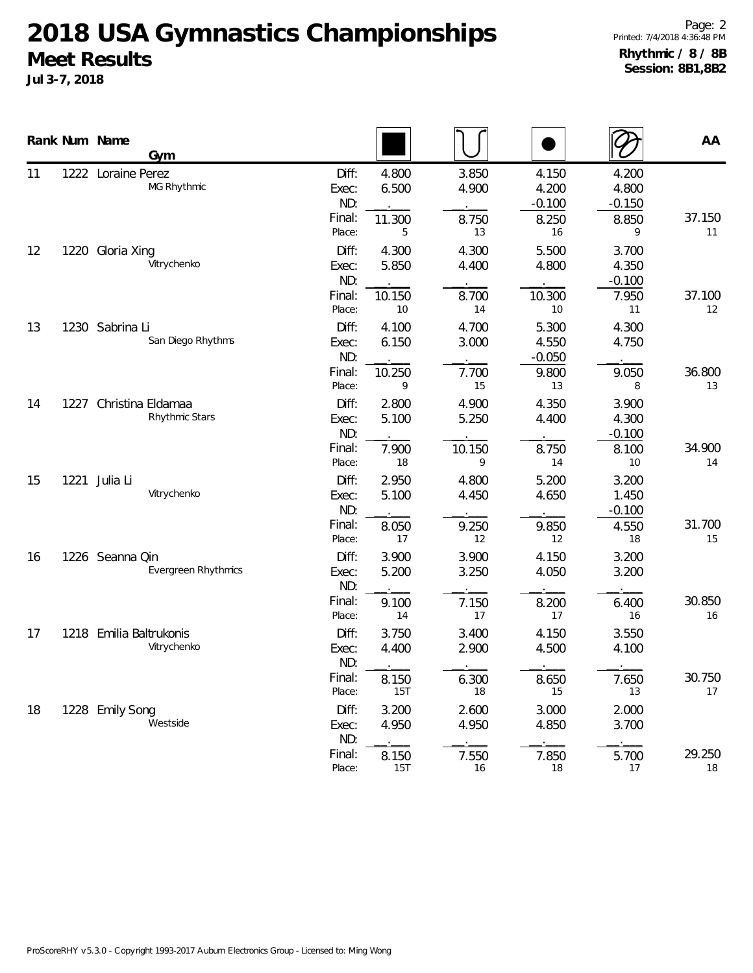**Jul 3-7, 2018**

|    |      | Rank Num Name<br>Gym                          |                                                     |                                       |                                     |                                           |                                           | AA                 |
|----|------|-----------------------------------------------|-----------------------------------------------------|---------------------------------------|-------------------------------------|-------------------------------------------|-------------------------------------------|--------------------|
| 11 |      | 1222 Loraine Perez<br>MG Rhythmic             | Diff:<br>Exec:<br>ND:<br>Final:<br>Place:           | 4.800<br>6.500<br>11.300<br>5         | 3.850<br>4.900<br>8.750<br>13       | 4.150<br>4.200<br>$-0.100$<br>8.250<br>16 | 4.200<br>4.800<br>$-0.150$<br>8.850<br>9  | 37.150<br>11       |
| 12 |      | 1220 Gloria Xing<br>Vitrychenko               | Diff:<br>Exec:<br>ND:<br>Final:<br>Place:           | 4.300<br>5.850<br>10.150<br>10        | 4.300<br>4.400<br>8.700<br>14       | 5.500<br>4.800<br>10.300<br>10            | 3.700<br>4.350<br>$-0.100$<br>7.950<br>11 | 37.100<br>12       |
| 13 |      | 1230 Sabrina Li<br>San Diego Rhythms          | Diff:<br>Exec:<br>ND:<br>Final:<br>Place:           | 4.100<br>6.150<br>10.250<br>9         | 4.700<br>3.000<br>7.700<br>15       | 5.300<br>4.550<br>$-0.050$<br>9.800<br>13 | 4.300<br>4.750<br>9.050<br>8              | 36.800<br>13       |
| 14 | 1227 | Christina Eldamaa<br>Rhythmic Stars           | Diff:<br>Exec:<br>ND:<br>Final:<br>Place:           | 2.800<br>5.100<br>7.900<br>18         | 4.900<br>5.250<br>10.150<br>9       | 4.350<br>4.400<br>8.750<br>14             | 3.900<br>4.300<br>$-0.100$<br>8.100<br>10 | 34.900<br>14       |
| 15 | 1221 | Julia Li<br>Vitrychenko                       | Diff:<br>Exec:<br>ND:<br>Final:<br>Place:           | 2.950<br>5.100<br>8.050<br>17         | 4.800<br>4.450<br>9.250<br>12       | 5.200<br>4.650<br>9.850<br>12             | 3.200<br>1.450<br>$-0.100$<br>4.550<br>18 | 31.700<br>15       |
| 16 |      | 1226 Seanna Qin<br><b>Evergreen Rhythmics</b> | Diff:<br>Exec:<br>ND:<br>Final:<br>Place:           | 3.900<br>5.200<br>9.100<br>14         | 3.900<br>3.250<br>7.150<br>17       | 4.150<br>4.050<br>8.200<br>17             | 3.200<br>3.200<br>6.400<br>16             | 30.850<br>16       |
| 17 |      | 1218 Emilia Baltrukonis<br>Vitrychenko        | Diff:<br>Exec:<br>ND:<br>Final:                     | 3.750<br>4.400<br>8.150               | 3.400<br>2.900<br>6.300             | 4.150<br>4.500<br>8.650                   | 3.550<br>4.100<br>7.650                   | 30.750             |
| 18 |      | 1228 Emily Song<br>Westside                   | Place:<br>Diff:<br>Exec:<br>ND:<br>Final:<br>Place: | 15T<br>3.200<br>4.950<br>8.150<br>15T | 18<br>2.600<br>4.950<br>7.550<br>16 | 15<br>3.000<br>4.850<br>7.850<br>18       | 13<br>2.000<br>3.700<br>5.700<br>17       | 17<br>29.250<br>18 |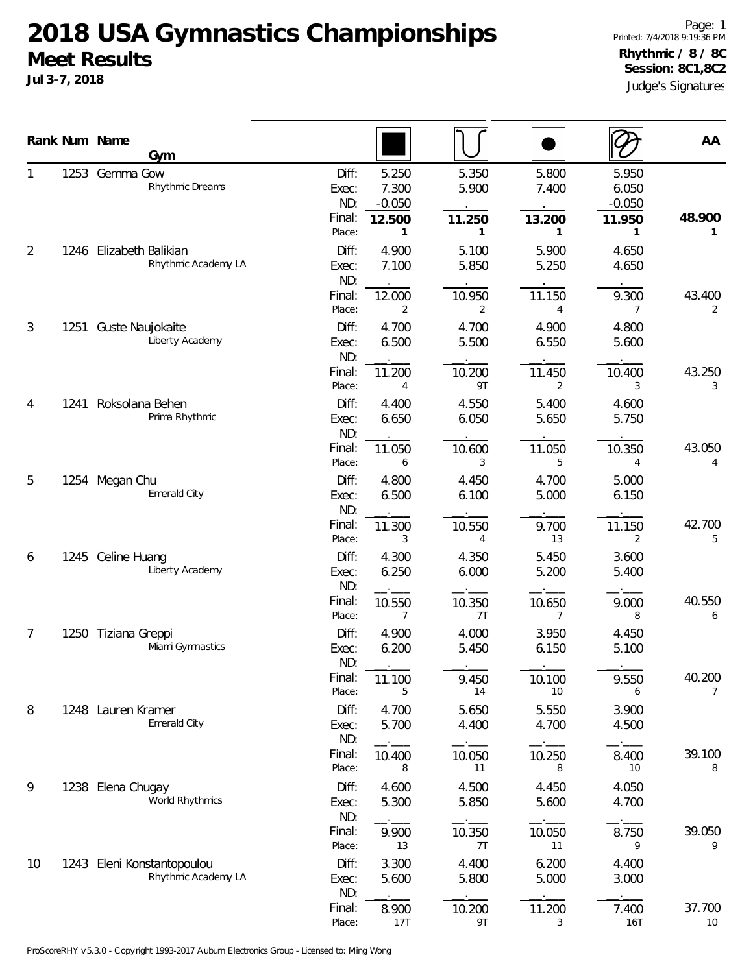**Jul 3-7, 2018**

Judge's Signatures Page: 1 Printed: 7/4/2018 9:19:36 PM **Rhythmic / 8 / 8C Session: 8C1,8C2**

|    |      | Rank Num Name<br>Gym                           |                                                                         |                          |                          |                                      | AA           |
|----|------|------------------------------------------------|-------------------------------------------------------------------------|--------------------------|--------------------------|--------------------------------------|--------------|
|    |      | 1253 Gemma Gow<br>Rhythmic Dreams              | 5.250<br>Diff:<br>7.300<br>Exec:<br>ND:<br>$-0.050$<br>Final:<br>12.500 | 5.350<br>5.900<br>11.250 | 5.800<br>7.400<br>13.200 | 5.950<br>6.050<br>$-0.050$<br>11.950 | 48.900       |
| 2  |      | 1246 Elizabeth Balikian<br>Rhythmic Academy LA | Place:<br>1<br>Diff:<br>4.900<br>Exec:<br>7.100<br>ND:                  | 1<br>5.100<br>5.850      | 1<br>5.900<br>5.250      | 1<br>4.650<br>4.650                  | $\mathbf{1}$ |
|    |      |                                                | Final:<br>12.000<br>Place:<br>2                                         | 10.950<br>2              | 11.150<br>4              | 9.300<br>7                           | 43.400<br>2  |
| 3  | 1251 | Guste Naujokaite<br>Liberty Academy            | Diff:<br>4.700<br>6.500<br>Exec:<br>ND:                                 | 4.700<br>5.500           | 4.900<br>6.550           | 4.800<br>5.600                       |              |
|    |      |                                                | Final:<br>11.200<br>Place:<br>4                                         | 10.200<br>9T             | 11.450<br>2              | 10.400<br>3                          | 43.250<br>3  |
| 4  | 1241 | Roksolana Behen<br>Prima Rhythmic              | Diff:<br>4.400<br>6.650<br>Exec:<br>ND:                                 | 4.550<br>6.050           | 5.400<br>5.650           | 4.600<br>5.750                       |              |
|    |      |                                                | Final:<br>11.050<br>Place:<br>6                                         | 10.600<br>3              | 11.050<br>5              | 10.350<br>4                          | 43.050<br>4  |
| 5  |      | 1254 Megan Chu<br>Emerald City                 | Diff:<br>4.800<br>6.500<br>Exec:<br>ND:                                 | 4.450<br>6.100           | 4.700<br>5.000           | 5.000<br>6.150                       |              |
|    |      |                                                | Final:<br>11.300<br>Place:<br>3<br>Diff:<br>4.300                       | 10.550<br>4<br>4.350     | 9.700<br>13<br>5.450     | 11.150<br>2<br>3.600                 | 42.700<br>5  |
| 6  |      | 1245 Celine Huang<br>Liberty Academy           | 6.250<br>Exec:<br>ND:                                                   | 6.000                    | 5.200                    | 5.400                                |              |
| 7  |      | 1250 Tiziana Greppi                            | Final:<br>10.550<br>Place:<br>7<br>Diff:<br>4.900                       | 10.350<br>7T<br>4.000    | 10.650<br>7<br>3.950     | 9.000<br>8<br>4.450                  | 40.550<br>6  |
|    |      | Miami Gymnastics                               | 6.200<br>Exec:<br>ND:                                                   | 5.450                    | 6.150                    | 5.100                                |              |
| 8  |      | 1248 Lauren Kramer                             | Final:<br>11.100<br>Place:<br>5<br>Diff:<br>4.700                       | 9.450<br>14<br>5.650     | 10.100<br>10<br>5.550    | 9.550<br>6<br>3.900                  | 40.200<br>7  |
|    |      | Emerald City                                   | 5.700<br>Exec:<br>ND:                                                   | 4.400                    | 4.700                    | 4.500                                |              |
| 9  |      | 1238 Elena Chugay                              | Final:<br>10.400<br>Place:<br>8<br>Diff:<br>4.600                       | 10.050<br>11<br>4.500    | 10.250<br>8<br>4.450     | 8.400<br>10<br>4.050                 | 39.100<br>8  |
|    |      | World Rhythmics                                | 5.300<br>Exec:<br>ND:                                                   | 5.850                    | 5.600                    | 4.700                                |              |
| 10 |      | 1243 Eleni Konstantopoulou                     | Final:<br>9.900<br>13<br>Place:<br>Diff:<br>3.300                       | 10.350<br>7T<br>4.400    | 10.050<br>11<br>6.200    | 8.750<br>9<br>4.400                  | 39.050<br>9  |
|    |      | Rhythmic Academy LA                            | 5.600<br>Exec:<br>ND:                                                   | 5.800                    | 5.000                    | 3.000                                |              |
|    |      |                                                | Final:<br>8.900<br>Place:<br>17T                                        | 10.200<br>9T             | 11.200<br>3              | 7.400<br>16T                         | 37.700<br>10 |